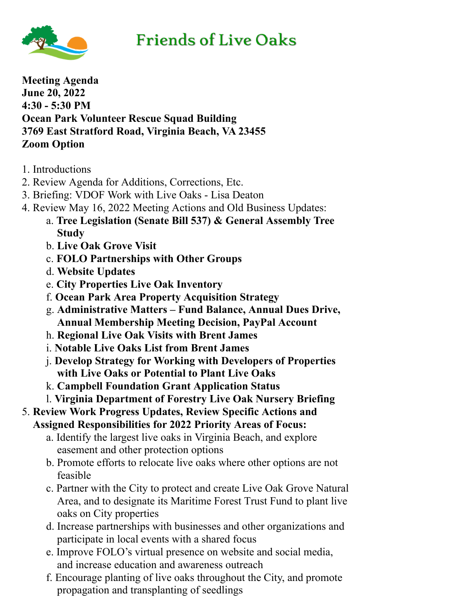

## **Friends of Live Oaks**

**Meeting Agenda June 20, 2022 4:30 - 5:30 PM Ocean Park Volunteer Rescue Squad Building 3769 East Stratford Road, Virginia Beach, VA 23455 Zoom Option**

- 1. Introductions
- 2. Review Agenda for Additions, Corrections, Etc.
- 3. Briefing: VDOF Work with Live Oaks Lisa Deaton
- 4. Review May 16, 2022 Meeting Actions and Old Business Updates:
	- a. **Tree Legislation (Senate Bill 537) & General Assembly Tree Study**
	- b. **Live Oak Grove Visit**
	- c. **FOLO Partnerships with Other Groups**
	- d. **Website Updates**
	- e. **City Properties Live Oak Inventory**
	- f. **Ocean Park Area Property Acquisition Strategy**
	- g. **Administrative Matters Fund Balance, Annual Dues Drive, Annual Membership Meeting Decision, PayPal Account**
	- h. **Regional Live Oak Visits with Brent James**
	- i. **Notable Live Oaks List from Brent James**
	- j. **Develop Strategy for Working with Developers of Properties with Live Oaks or Potential to Plant Live Oaks**
	- k. **Campbell Foundation Grant Application Status**
	- l. **Virginia Department of Forestry Live Oak Nursery Briefing**
- 5. **Review Work Progress Updates, Review Specific Actions and Assigned Responsibilities for 2022 Priority Areas of Focus:**
	- a. Identify the largest live oaks in Virginia Beach, and explore easement and other protection options
	- b. Promote efforts to relocate live oaks where other options are not feasible
	- c. Partner with the City to protect and create Live Oak Grove Natural Area, and to designate its Maritime Forest Trust Fund to plant live oaks on City properties
	- d. Increase partnerships with businesses and other organizations and participate in local events with a shared focus
	- e. Improve FOLO's virtual presence on website and social media, and increase education and awareness outreach
	- f. Encourage planting of live oaks throughout the City, and promote propagation and transplanting of seedlings